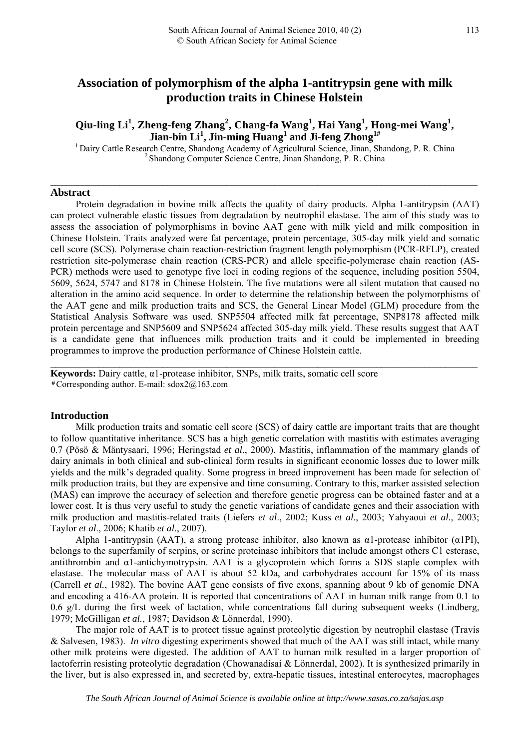# **Association of polymorphism of the alpha 1-antitrypsin gene with milk production traits in Chinese Holstein**

# **Qiu-ling Li<sup>1</sup> , Zheng-feng Zhang<sup>2</sup> , Chang-fa Wang<sup>1</sup> , Hai Yang<sup>1</sup> , Hong-mei Wang<sup>1</sup> , Jian-bin Li<sup>1</sup> , Jin-ming Huang<sup>1</sup> and Ji-feng Zhong1#**

<sup>1</sup> Dairy Cattle Research Centre, Shandong Academy of Agricultural Science, Jinan, Shandong, P. R. China <sup>2</sup> Shandong Computer Science Centre, Jinan Shandong, P. R. China

 $\mathcal{L}_\mathcal{L} = \{ \mathcal{L}_\mathcal{L} = \{ \mathcal{L}_\mathcal{L} = \{ \mathcal{L}_\mathcal{L} = \{ \mathcal{L}_\mathcal{L} = \{ \mathcal{L}_\mathcal{L} = \{ \mathcal{L}_\mathcal{L} = \{ \mathcal{L}_\mathcal{L} = \{ \mathcal{L}_\mathcal{L} = \{ \mathcal{L}_\mathcal{L} = \{ \mathcal{L}_\mathcal{L} = \{ \mathcal{L}_\mathcal{L} = \{ \mathcal{L}_\mathcal{L} = \{ \mathcal{L}_\mathcal{L} = \{ \mathcal{L}_\mathcal{$ 

### **Abstract**

Protein degradation in bovine milk affects the quality of dairy products. Alpha 1-antitrypsin (AAT) can protect vulnerable elastic tissues from degradation by neutrophil elastase. The aim of this study was to assess the association of polymorphisms in bovine AAT gene with milk yield and milk composition in Chinese Holstein. Traits analyzed were fat percentage, protein percentage, 305-day milk yield and somatic cell score (SCS). Polymerase chain reaction-restriction fragment length polymorphism (PCR-RFLP), created restriction site-polymerase chain reaction (CRS-PCR) and allele specific-polymerase chain reaction (AS-PCR) methods were used to genotype five loci in coding regions of the sequence, including position 5504, 5609, 5624, 5747 and 8178 in Chinese Holstein. The five mutations were all silent mutation that caused no alteration in the amino acid sequence. In order to determine the relationship between the polymorphisms of the AAT gene and milk production traits and SCS, the General Linear Model (GLM) procedure from the Statistical Analysis Software was used. SNP5504 affected milk fat percentage, SNP8178 affected milk protein percentage and SNP5609 and SNP5624 affected 305-day milk yield. These results suggest that AAT is a candidate gene that influences milk production traits and it could be implemented in breeding programmes to improve the production performance of Chinese Holstein cattle.

 $\mathcal{L}_\mathcal{L} = \mathcal{L}_\mathcal{L} = \mathcal{L}_\mathcal{L} = \mathcal{L}_\mathcal{L} = \mathcal{L}_\mathcal{L} = \mathcal{L}_\mathcal{L} = \mathcal{L}_\mathcal{L} = \mathcal{L}_\mathcal{L} = \mathcal{L}_\mathcal{L} = \mathcal{L}_\mathcal{L} = \mathcal{L}_\mathcal{L} = \mathcal{L}_\mathcal{L} = \mathcal{L}_\mathcal{L} = \mathcal{L}_\mathcal{L} = \mathcal{L}_\mathcal{L} = \mathcal{L}_\mathcal{L} = \mathcal{L}_\mathcal{L}$ 

**Keywords:** Dairy cattle, α1-protease inhibitor, SNPs, milk traits, somatic cell score #Corresponding author. E-mail: [sdox2@163.com](mailto:sdox2@163.com) 

### **Introduction**

Milk production traits and somatic cell score (SCS) of dairy cattle are important traits that are thought to follow quantitative inheritance. SCS has a high genetic correlation with mastitis with estimates averaging 0.7 (Pösö & Mäntysaari, 1996; Heringstad *et al*., 2000). Mastitis, inflammation of the mammary glands of dairy animals in both clinical and sub-clinical form results in significant economic losses due to lower milk yields and the milk's degraded quality. Some progress in breed improvement has been made for selection of milk production traits, but they are expensive and time consuming. Contrary to this, marker assisted selection (MAS) can improve the accuracy of selection and therefore genetic progress can be obtained faster and at a lower cost. It is thus very useful to study the genetic variations of candidate genes and their association with milk production and mastitis-related traits (Liefers *et al*., 2002; Kuss *et al*., 2003; Yahyaoui *et al*., 2003; Taylor *et al*., 2006; Khatib *et al*., 2007).

Alpha 1-antitrypsin (AAT), a strong protease inhibitor, also known as α1-protease inhibitor (α1PI), belongs to the superfamily of serpins, or serine proteinase inhibitors that include amongst others C1 esterase, antithrombin and  $\alpha$ 1-antichymotrypsin. AAT is a glycoprotein which forms a SDS staple complex with elastase. The molecular mass of AAT is about 52 kDa, and carbohydrates account for 15% of its mass (Carrell *et al.*, 1982). The bovine AAT gene consists of five exons, spanning about 9 kb of genomic DNA and encoding a 416-AA protein. It is reported that concentrations of AAT in human milk range from 0.1 to 0.6 g/L during the first week of lactation, while concentrations fall during subsequent weeks (Lindberg, 1979; McGilligan *et al.*, 1987; Davidson & Lönnerdal, 1990).

The major role of AAT is to protect tissue against proteolytic digestion by neutrophil elastase (Travis & Salvesen, 1983). *In vitro* digesting experiments showed that much of the AAT was still intact, while many other milk proteins were digested. The addition of AAT to human milk resulted in a larger proportion of lactoferrin resisting proteolytic degradation (Chowanadisai & Lönnerdal, 2002). It is synthesized primarily in the liver, but is also expressed in, and secreted by, extra-hepatic tissues, intestinal enterocytes, macrophages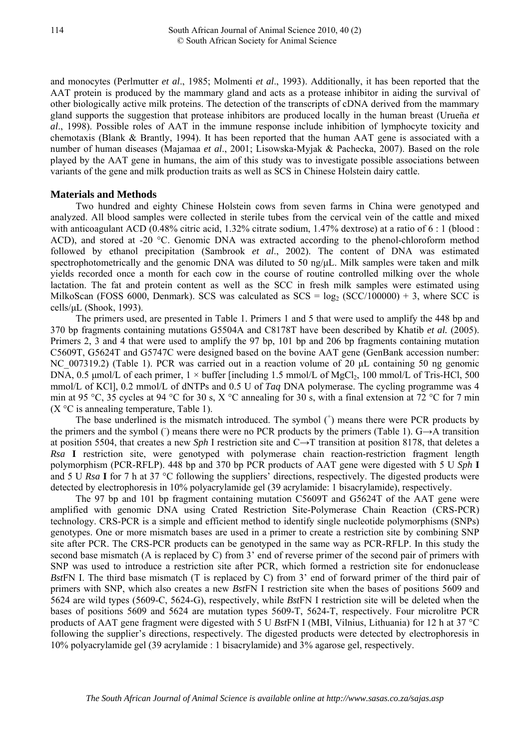and monocytes (Perlmutter *et al*., 1985; Molmenti *et al*., 1993). Additionally, it has been reported that the AAT protein is produced by the mammary gland and acts as a protease inhibitor in aiding the survival of other biologically active milk proteins. The detection of the transcripts of cDNA derived from the mammary gland supports the suggestion that protease inhibitors are produced locally in the human breast (Urueña *et al*., 1998). Possible roles of AAT in the immune response include inhibition of lymphocyte toxicity and chemotaxis (Blank & Brantly, 1994). It has been reported that the human AAT gene is associated with a number of human diseases (Majamaa *et al*., 2001; [Lisowska-Myjak](http://www.ncbi.nlm.nih.gov/sites/entrez?Db=pubmed&Cmd=Search&Term=%22Lisowska-Myjak%20B%22%5BAuthor%5D&itool=EntrezSystem2.PEntrez.Pubmed.Pubmed_ResultsPanel.Pubmed_RVAbstract) & [Pachecka,](http://www.ncbi.nlm.nih.gov/sites/entrez?Db=pubmed&Cmd=Search&Term=%22Pachecka%20J%22%5BAuthor%5D&itool=EntrezSystem2.PEntrez.Pubmed.Pubmed_ResultsPanel.Pubmed_RVAbstract) 2007). Based on the role played by the AAT gene in humans, the aim of this study was to investigate possible associations between variants of the gene and milk production traits as well as SCS in Chinese Holstein dairy cattle.

# **Materials and Methods**

Two hundred and eighty Chinese Holstein cows from seven farms in China were genotyped and analyzed. All blood samples were collected in sterile tubes from the cervical vein of the cattle and mixed with anticoagulant ACD (0.48% citric acid, 1.32% citrate sodium, 1.47% dextrose) at a ratio of 6 : 1 (blood : ACD), and stored at -20 °C. Genomic DNA was extracted according to the phenol-chloroform method followed by ethanol precipitation (Sambrook *et al*., 2002). The content of DNA was estimated spectrophotometrically and the genomic DNA was diluted to 50 ng/μL. Milk samples were taken and milk yields recorded once a month for each cow in the course of routine controlled milking over the whole lactation. The fat and protein content as well as the SCC in fresh milk samples were estimated using MilkoScan (FOSS 6000, Denmark). SCS was calculated as  $SCS = log_2 (SCC/100000) + 3$ , where SCC is cells/μL (Shook, 1993).

The primers used, are presented in Table 1. Primers 1 and 5 that were used to amplify the 448 bp and 370 bp fragments containing mutations G5504A and C8178T have been described by Khatib *et al.* (2005). Primers 2, 3 and 4 that were used to amplify the 97 bp, 101 bp and 206 bp fragments containing mutation C5609T, G5624T and G5747C were designed based on the bovine AAT gene (GenBank accession number: NC 007319.2) (Table 1). PCR was carried out in a reaction volume of 20 µL containing 50 ng genomic DNA, 0.5 µmol/L of each primer,  $1 \times$  buffer [including 1.5 mmol/L of MgCl<sub>2</sub>, 100 mmol/L of Tris-HCl, 500 mmol/L of KCl], 0.2 mmol/L of dNTPs and 0.5 U of *Taq* DNA polymerase. The cycling programme was 4 min at 95 °C, 35 cycles at 94 °C for 30 s, X °C annealing for 30 s, with a final extension at 72 °C for 7 min  $(X^{\circ}C)$  is annealing temperature, Table 1).

The base underlined is the mismatch introduced. The symbol  $($ <sub> $)$ </sub> means there were PCR products by the primers and the symbol () means there were no PCR products by the primers (Table 1).  $G \rightarrow A$  transition at position 5504, that creates a new *Sph* I restriction site and C→T transition at position 8178, that deletes a *Rsa* **I** restriction site, were genotyped with polymerase chain reaction-restriction fragment length polymorphism (PCR-RFLP). 448 bp and 370 bp PCR products of AAT gene were digested with 5 U *Sph* **I** and 5 U *Rsa* **I** for 7 h at 37 °C following the suppliers' directions, respectively. The digested products were detected by electrophoresis in 10% polyacrylamide gel (39 acrylamide: 1 bisacrylamide), respectively.

The 97 bp and 101 bp fragment containing mutation C5609T and G5624T of the AAT gene were amplified with genomic DNA using Crated Restriction Site-Polymerase Chain Reaction (CRS-PCR) technology. CRS-PCR is a simple and efficient method to identify single nucleotide polymorphisms (SNPs) genotypes. One or more mismatch bases are used in a primer to create a restriction site by combining SNP site after PCR. The CRS-PCR products can be genotyped in the same way as PCR-RFLP. In this study the second base mismatch (A is replaced by C) from 3' end of reverse primer of the second pair of primers with SNP was used to introduce a restriction site after PCR, which formed a restriction site for endonuclease *Bst*FN Ι. The third base mismatch (T is replaced by C) from 3' end of forward primer of the third pair of primers with SNP, which also creates a new *Bst*FN Ι restriction site when the bases of positions 5609 and 5624 are wild types (5609-C, 5624-G), respectively, while *Bst*FN Ι restriction site will be deleted when the bases of positions 5609 and 5624 are mutation types 5609-T, 5624-T, respectively. Four microlitre PCR products of AAT gene fragment were digested with 5 U *Bst*FN Ι (MBI, Vilnius, Lithuania) for 12 h at 37 °C following the supplier's directions, respectively. The digested products were detected by electrophoresis in 10% polyacrylamide gel (39 acrylamide : 1 bisacrylamide) and 3% agarose gel, respectively.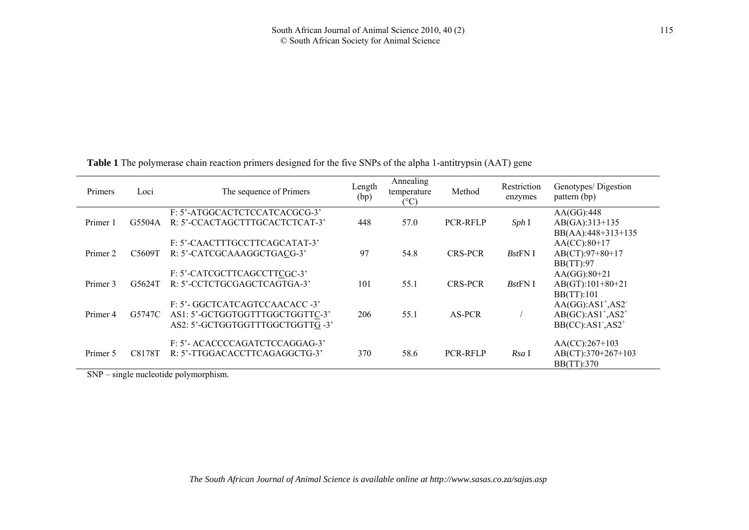**Table 1** The polymerase chain reaction primers designed for the five SNPs of the alpha 1-antitrypsin (AAT) gene

| Primers  | Loci   | The sequence of Primers                                                                              | Length<br>(bp) | Annealing<br>temperature<br>$(^{\circ}C)$ | Method          | Restriction<br>enzymes | Genotypes/ Digestion<br>pattern (bp)                                                |
|----------|--------|------------------------------------------------------------------------------------------------------|----------------|-------------------------------------------|-----------------|------------------------|-------------------------------------------------------------------------------------|
| Primer 1 | G5504A | F: 5'-ATGGCACTCTCCATCACGCG-3'<br>R: 5'-CCACTAGCTTTGCACTCTCAT-3'                                      | 448            | 57.0                                      | PCR-RFLP        | Sph I                  | AA(GG):448<br>AB(GA):313+135<br>BB(AA):448+313+135                                  |
| Primer 2 | C5609T | F: 5'-CAACTTTGCCTTCAGCATAT-3'<br>R: 5'-CATCGCAAAGGCTGACG-3'                                          | 97             | 54.8                                      | <b>CRS-PCR</b>  | $BstFN$ I              | $AA(CC):80+17$<br>$AB(CT):97+80+17$<br>BB(TT):97                                    |
| Primer 3 | G5624T | F: 5'-CATCGCTTCAGCCTTCGC-3'<br>R: 5'-CCTCTGCGAGCTCAGTGA-3'                                           | 101            | 55.1                                      | <b>CRS-PCR</b>  | $BstFN$ I              | $AA(GG):80+21$<br>$AB(GT):101+80+21$<br>BB(TT):101                                  |
| Primer 4 | G5747C | F: 5'- GGCTCATCAGTCCAACACC -3'<br>AS1: 5'-GCTGGTGGTTTGGCTGGTTC-3'<br>AS2: 5'-GCTGGTGGTTTGGCTGGTTG-3' | 206            | 55.1                                      | AS-PCR          |                        | $AA(GG):AS1^+$ , AS2 <sup>-</sup><br>$AB(GC):AS1^+$ , $AS2^+$<br>$BB(CC):AS1, AS2+$ |
| Primer 5 | C8178T | F: 5'- ACACCCCAGATCTCCAGGAG-3'<br>R: 5'-TTGGACACCTTCAGAGGCTG-3'                                      | 370            | 58.6                                      | <b>PCR-RFLP</b> | Rsa I                  | $AA(CC):267+103$<br>AB(CT):370+267+103<br>BB(TT):370                                |

SNP – single nucleotide polymorphism.

*The South African Journal of Animal Science is available online at http://www.sasas.co.za/sajas.asp*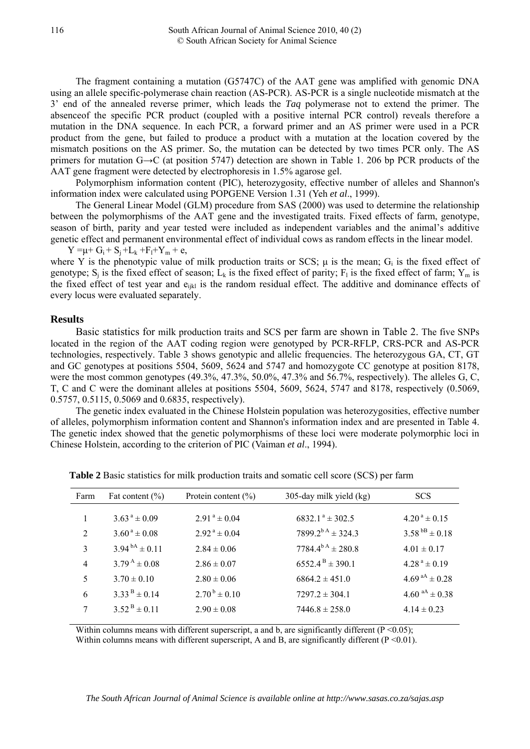The fragment containing a mutation (G5747C) of the AAT gene was amplified with genomic DNA using an allele specific-polymerase chain reaction (AS-PCR). AS-PCR is a single nucleotide mismatch at the 3' end of the annealed reverse primer, which leads the *Taq* polymerase not to extend the primer. The absenceof the specific PCR product (coupled with a positive internal PCR control) reveals therefore a mutation in the DNA sequence. In each PCR, a forward primer and an AS primer were used in a PCR product from the gene, but failed to produce a product with a mutation at the location covered by the mismatch positions on the AS primer. So, the mutation can be detected by two times PCR only. The AS primers for mutation G→C (at position 5747) detection are shown in Table 1. 206 bp PCR products of the AAT gene fragment were detected by electrophoresis in 1.5% agarose gel.

Polymorphism information content (PIC), heterozygosity, effective number of alleles and Shannon's information index were calculated using POPGENE Version 1.31 (Yeh *et al*., 1999).

The General Linear Model (GLM) procedure from SAS (2000) was used to determine the relationship between the polymorphisms of the AAT gene and the investigated traits. Fixed effects of farm, genotype, season of birth, parity and year tested were included as independent variables and the animal's additive genetic effect and permanent environmental effect of individual cows as random effects in the linear model.  $Y = \mu + G_i + S_i + L_k + F_l + Y_m + e$ ,

where Y is the phenotypic value of milk production traits or SCS;  $\mu$  is the mean; G<sub>i</sub> is the fixed effect of genotype;  $S_i$  is the fixed effect of season;  $L_k$  is the fixed effect of parity;  $F_1$  is the fixed effect of farm;  $Y_m$  is the fixed effect of test year and e<sub>ijkl</sub> is the random residual effect. The additive and dominance effects of every locus were evaluated separately.

## **Results**

Basic statistics for milk production traits and SCS per farm are shown in Table 2. The five SNPs located in the region of the AAT coding region were genotyped by PCR-RFLP, CRS-PCR and AS-PCR technologies, respectively. Table 3 shows genotypic and allelic frequencies. The heterozygous GA, CT, GT and GC genotypes at positions 5504, 5609, 5624 and 5747 and homozygote CC genotype at position 8178, were the most common genotypes (49.3%, 47.3%, 50.0%, 47.3% and 56.7%, respectively). The alleles G, C, T, C and C were the dominant alleles at positions 5504, 5609, 5624, 5747 and 8178, respectively (0.5069, 0.5757, 0.5115, 0.5069 and 0.6835, respectively).

The genetic index evaluated in the Chinese Holstein population was heterozygosities, effective number of alleles, polymorphism information content and Shannon's information index and are presented in Table 4. The genetic index showed that the genetic polymorphisms of these loci were moderate polymorphic loci in Chinese Holstein, according to the criterion of PIC (Vaiman *et al*., 1994).

| Farm           | Fat content $(\% )$         | Protein content $(\% )$      | 305-day milk yield (kg)          | <b>SCS</b>                 |
|----------------|-----------------------------|------------------------------|----------------------------------|----------------------------|
|                |                             |                              |                                  |                            |
|                | $3.63^{\text{a}} \pm 0.09$  | $2.91^a \pm 0.04$            | $6832.1^{\text{a}} \pm 302.5$    | $4.20^{\text{a}} \pm 0.15$ |
| 2              | $3.60^{\text{ a}} \pm 0.08$ | $2.92^{\text{a}} \pm 0.04$   | $7899.2^{b \text{ A}} \pm 324.3$ | $3.58^{bB} \pm 0.18$       |
| 3              | $3.94^{bA} \pm 0.11$        | $2.84 \pm 0.06$              | $7784.4^{b A} \pm 280.8$         | $4.01 \pm 0.17$            |
| $\overline{4}$ | $3.79^{\text{A}} \pm 0.08$  | $2.86 \pm 0.07$              | $6552.4^{\text{B}} \pm 390.1$    | $4.28^{\text{a}} \pm 0.19$ |
| 5              | $3.70 \pm 0.10$             | $2.80 \pm 0.06$              | $6864.2 \pm 451.0$               | $4.69^{aA} \pm 0.28$       |
| 6              | $3.33^{B} \pm 0.14$         | $2.70^{\mathrm{b}} \pm 0.10$ | $7297.2 \pm 304.1$               | 4.60 $a^{AA}$ ± 0.38       |
| 7              | $3.52^{B} \pm 0.11$         | $2.90 \pm 0.08$              | $7446.8 \pm 258.0$               | $4.14 \pm 0.23$            |
|                |                             |                              |                                  |                            |

**Table 2** Basic statistics for milk production traits and somatic cell score (SCS) per farm

Within columns means with different superscript, a and b, are significantly different  $(P \le 0.05)$ ; Within columns means with different superscript, A and B, are significantly different  $(P < 0.01)$ .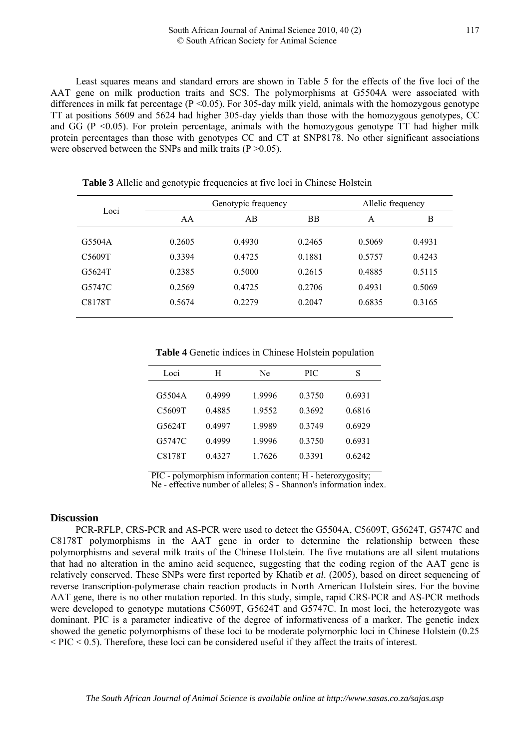Least squares means and standard errors are shown in Table 5 for the effects of the five loci of the AAT gene on milk production traits and SCS. The polymorphisms at G5504A were associated with differences in milk fat percentage ( $P \le 0.05$ ). For 305-day milk yield, animals with the homozygous genotype TT at positions 5609 and 5624 had higher 305-day yields than those with the homozygous genotypes, CC and  $GG$  (P <0.05). For protein percentage, animals with the homozygous genotype  $TT$  had higher milk protein percentages than those with genotypes CC and CT at SNP8178. No other significant associations were observed between the SNPs and milk traits (P > 0.05).

| Loci   | Genotypic frequency |        |           | Allelic frequency |        |
|--------|---------------------|--------|-----------|-------------------|--------|
|        | AA                  | AB     | <b>BB</b> | A                 | B      |
| G5504A | 0.2605              | 0.4930 | 0.2465    | 0.5069            | 0.4931 |
| C5609T | 0.3394              | 0.4725 | 0.1881    | 0.5757            | 0.4243 |
| G5624T | 0.2385              | 0.5000 | 0.2615    | 0.4885            | 0.5115 |
| G5747C | 0.2569              | 0.4725 | 0.2706    | 0.4931            | 0.5069 |
| C8178T | 0.5674              | 0.2279 | 0.2047    | 0.6835            | 0.3165 |

**Table 3** Allelic and genotypic frequencies at five loci in Chinese Holstein

**Table 4** Genetic indices in Chinese Holstein population

| Loci   | H      | Ne     | PIC       | S      |
|--------|--------|--------|-----------|--------|
|        |        |        |           |        |
| G5504A | 0.4999 | 19996  | 0.3750    | 0.6931 |
| C5609T | 0.4885 | 19552  | 0.3692    | 0.6816 |
| G5624T | 04997  | 19989  | 0 3 7 4 9 | 0.6929 |
| G5747C | 0.4999 | 1.9996 | 0.3750    | 0.6931 |
| C8178T | 0.4327 | 1.7626 | 0.3391    | 0.6242 |
|        |        |        |           |        |

PIC - polymorphism information content; H - heterozygosity;

Ne - effective number of alleles; S - Shannon's information index.

#### **Discussion**

PCR-RFLP, CRS-PCR and AS-PCR were used to detect the G5504A, C5609T, G5624T, G5747C and C8178T polymorphisms in the AAT gene in order to determine the relationship between these polymorphisms and several milk traits of the Chinese Holstein. The five mutations are all silent mutations that had no alteration in the amino acid sequence, suggesting that the coding region of the AAT gene is relatively conserved. These SNPs were first reported by Khatib *et al*. (2005), based on direct sequencing of reverse transcription-polymerase chain reaction products in North American Holstein sires. For the bovine AAT gene, there is no other mutation reported. In this study, simple, rapid CRS-PCR and AS-PCR methods were developed to genotype mutations C5609T, G5624T and G5747C. In most loci, the heterozygote was dominant. PIC is a parameter indicative of the degree of informativeness of a marker. The genetic index showed the genetic polymorphisms of these loci to be moderate polymorphic loci in Chinese Holstein (0.25  $\langle$  PIC  $\langle$  0.5). Therefore, these loci can be considered useful if they affect the traits of interest.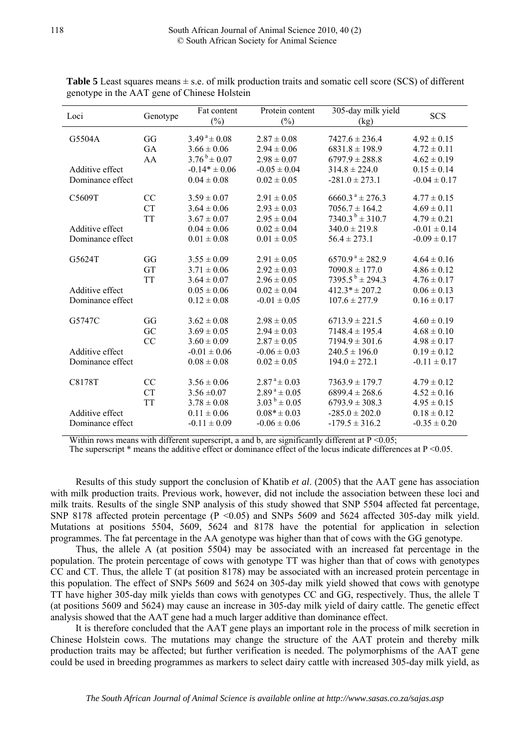| Loci             | Genotype  | Fat content<br>$(\%)$      | Protein content<br>$(\%)$  | 305-day milk yield<br>(kg)      | <b>SCS</b>       |
|------------------|-----------|----------------------------|----------------------------|---------------------------------|------------------|
| G5504A           | GG        | $3.49^{\text{a}} \pm 0.08$ | $2.87 \pm 0.08$            | $7427.6 \pm 236.4$              | $4.92 \pm 0.15$  |
|                  | GA        | $3.66 \pm 0.06$            | $2.94 \pm 0.06$            | $6831.8 \pm 198.9$              | $4.72 \pm 0.11$  |
|                  | AA        | $3.76^{b} \pm 0.07$        | $2.98 \pm 0.07$            | $6797.9 \pm 288.8$              | $4.62 \pm 0.19$  |
| Additive effect  |           | $-0.14* \pm 0.06$          | $-0.05 \pm 0.04$           | $314.8 \pm 224.0$               | $0.15 \pm 0.14$  |
| Dominance effect |           | $0.04 \pm 0.08$            | $0.02 \pm 0.05$            | $-281.0 \pm 273.1$              | $-0.04 \pm 0.17$ |
| C5609T           | CC        | $3.59 \pm 0.07$            | $2.91 \pm 0.05$            | $6660.3^{\text{ a}} \pm 276.3$  | $4.77 \pm 0.15$  |
|                  | <b>CT</b> | $3.64 \pm 0.06$            | $2.93 \pm 0.03$            | $7056.7 \pm 164.2$              | $4.69 \pm 0.11$  |
|                  | <b>TT</b> | $3.67 \pm 0.07$            | $2.95 \pm 0.04$            | $7340.3^{b} \pm 310.7$          | $4.79 \pm 0.21$  |
| Additive effect  |           | $0.04 \pm 0.06$            | $0.02 \pm 0.04$            | $340.0 \pm 219.8$               | $-0.01 \pm 0.14$ |
| Dominance effect |           | $0.01 \pm 0.08$            | $0.01 \pm 0.05$            | $56.4 \pm 273.1$                | $-0.09 \pm 0.17$ |
|                  |           |                            |                            |                                 |                  |
| G5624T           | GG        | $3.55 \pm 0.09$            | $2.91 \pm 0.05$            | $6570.9^{\text{ a}} \pm 282.9$  | $4.64 \pm 0.16$  |
|                  | <b>GT</b> | $3.71 \pm 0.06$            | $2.92 \pm 0.03$            | $7090.8 \pm 177.0$              | $4.86 \pm 0.12$  |
|                  | <b>TT</b> | $3.64 \pm 0.07$            | $2.96 \pm 0.05$            | $7395.5^{\mathrm{b}} \pm 294.3$ | $4.76 \pm 0.17$  |
| Additive effect  |           | $0.05 \pm 0.06$            | $0.02 \pm 0.04$            | $412.3* \pm 207.2$              | $0.06 \pm 0.13$  |
| Dominance effect |           | $0.12 \pm 0.08$            | $-0.01 \pm 0.05$           | $107.6 \pm 277.9$               | $0.16 \pm 0.17$  |
|                  |           |                            |                            |                                 |                  |
| G5747C           | GG        | $3.62 \pm 0.08$            | $2.98 \pm 0.05$            | $6713.9 \pm 221.5$              | $4.60 \pm 0.19$  |
|                  | GC        | $3.69 \pm 0.05$            | $2.94 \pm 0.03$            | $7148.4 \pm 195.4$              | $4.68 \pm 0.10$  |
|                  | CC        | $3.60 \pm 0.09$            | $2.87 \pm 0.05$            | $7194.9 \pm 301.6$              | $4.98 \pm 0.17$  |
| Additive effect  |           | $-0.01 \pm 0.06$           | $-0.06 \pm 0.03$           | $240.5 \pm 196.0$               | $0.19 \pm 0.12$  |
| Dominance effect |           | $0.08 \pm 0.08$            | $0.02 \pm 0.05$            | $194.0 \pm 272.1$               | $-0.11 \pm 0.17$ |
|                  |           |                            |                            |                                 |                  |
| C8178T           | CC        | $3.56 \pm 0.06$            | $2.87^{\text{a}} \pm 0.03$ | $7363.9 \pm 179.7$              | $4.79 \pm 0.12$  |
|                  | <b>CT</b> | $3.56 \pm 0.07$            | $2.89^{\text{a}} \pm 0.05$ | $6899.4 \pm 268.6$              | $4.52 \pm 0.16$  |
|                  | <b>TT</b> | $3.78 \pm 0.08$            | $3.03^{b} \pm 0.05$        | $6793.9 \pm 308.3$              | $4.95 \pm 0.15$  |
| Additive effect  |           | $0.11 \pm 0.06$            | $0.08* \pm 0.03$           | $-285.0 \pm 202.0$              | $0.18 \pm 0.12$  |
| Dominance effect |           | $-0.11 \pm 0.09$           | $-0.06 \pm 0.06$           | $-179.5 \pm 316.2$              | $-0.35 \pm 0.20$ |

**Table 5** Least squares means  $\pm$  s.e. of milk production traits and somatic cell score (SCS) of different genotype in the AAT gene of Chinese Holstein

Within rows means with different superscript, a and b, are significantly different at  $P \le 0.05$ ;

The superscript  $*$  means the additive effect or dominance effect of the locus indicate differences at  $P \le 0.05$ .

Results of this study support the conclusion of Khatib *et al*. (2005) that the AAT gene has association with milk production traits. Previous work, however, did not include the association between these loci and milk traits. Results of the single SNP analysis of this study showed that SNP 5504 affected fat percentage, SNP 8178 affected protein percentage (P < 0.05) and SNPs 5609 and 5624 affected 305-day milk yield. Mutations at positions 5504, 5609, 5624 and 8178 have the potential for application in selection programmes. The fat percentage in the AA genotype was higher than that of cows with the GG genotype.

Thus, the allele A (at position 5504) may be associated with an increased fat percentage in the population. The protein percentage of cows with genotype TT was higher than that of cows with genotypes CC and CT. Thus, the allele T (at position 8178) may be associated with an increased protein percentage in this population. The effect of SNPs 5609 and 5624 on 305-day milk yield showed that cows with genotype TT have higher 305-day milk yields than cows with genotypes CC and GG, respectively. Thus, the allele T (at positions 5609 and 5624) may cause an increase in 305-day milk yield of dairy cattle. The genetic effect analysis showed that the AAT gene had a much larger additive than dominance effect.

It is therefore concluded that the AAT gene plays an important role in the process of milk secretion in Chinese Holstein cows. The mutations may change the structure of the AAT protein and thereby milk production traits may be affected; but further verification is needed. The polymorphisms of the AAT gene could be used in breeding programmes as markers to select dairy cattle with increased 305-day milk yield, as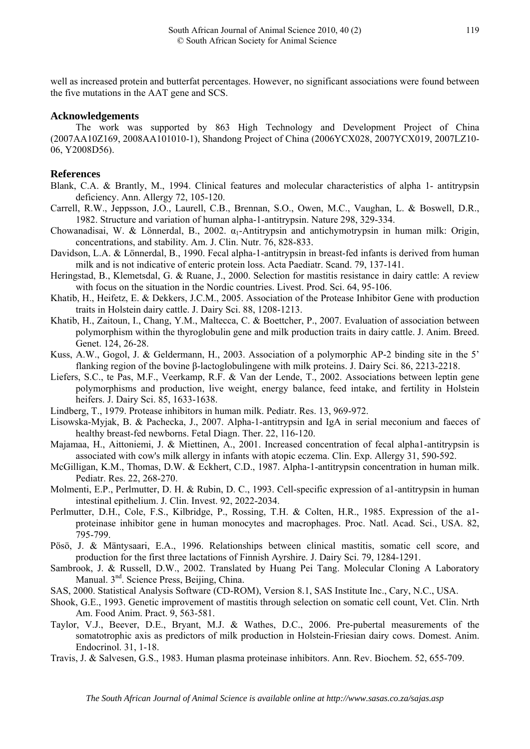well as increased protein and butterfat percentages. However, no significant associations were found between the five mutations in the AAT gene and SCS.

## **Acknowledgements**

The work was supported by 863 High Technology and Development Project of China (2007AA10Z169, 2008AA101010-1), Shandong Project of China (2006YCX028, 2007YCX019, 2007LZ10- 06, Y2008D56).

# **References**

- Blank, C.A. & Brantly, M., 1994. Clinical features and molecular characteristics of alpha 1- antitrypsin deficiency. Ann. Allergy 72, 105-120.
- Carrell, R.W., Jeppsson, J.O., Laurell, C.B., Brennan, S.O., Owen, M.C., Vaughan, L. & Boswell, D.R., 1982. Structure and variation of human alpha-1-antitrypsin. Nature 298, 329-334.
- Chowanadisai, W. & Lönnerdal, B., 2002. α1-Antitrypsin and antichymotrypsin in human milk: Origin, concentrations, and stability. Am. J. Clin. Nutr. 76, 828-833.
- Davidson, L.A. & Lönnerdal, B., 1990. Fecal alpha-1-antitrypsin in breast-fed infants is derived from human milk and is not indicative of enteric protein loss. Acta Paediatr. Scand. 79, 137-141.
- Heringstad, B., Klemetsdal, G. & Ruane, J., 2000. Selection for mastitis resistance in dairy cattle: A review with focus on the situation in the Nordic countries. Livest. Prod. Sci. 64, 95-106.
- Khatib, H., Heifetz, E. & Dekkers, J.C.M., 2005. Association of the Protease Inhibitor Gene with production traits in Holstein dairy cattle. J. Dairy Sci. 88, 1208-1213.
- [Khatib, H](http://www.ncbi.nlm.nih.gov/sites/entrez?Db=pubmed&Cmd=Search&Term=%22Khatib%20H%22%5BAuthor%5D&itool=EntrezSystem2.PEntrez.Pubmed.Pubmed_ResultsPanel.Pubmed_RVAbstractPlus)., [Zaitoun, I.](http://www.ncbi.nlm.nih.gov/sites/entrez?Db=pubmed&Cmd=Search&Term=%22Zaitoun%20I%22%5BAuthor%5D&itool=EntrezSystem2.PEntrez.Pubmed.Pubmed_ResultsPanel.Pubmed_RVAbstractPlus), [Chang, Y.M](http://www.ncbi.nlm.nih.gov/sites/entrez?Db=pubmed&Cmd=Search&Term=%22Chang%20YM%22%5BAuthor%5D&itool=EntrezSystem2.PEntrez.Pubmed.Pubmed_ResultsPanel.Pubmed_RVAbstractPlus)., [Maltecca, C](http://www.ncbi.nlm.nih.gov/sites/entrez?Db=pubmed&Cmd=Search&Term=%22Maltecca%20C%22%5BAuthor%5D&itool=EntrezSystem2.PEntrez.Pubmed.Pubmed_ResultsPanel.Pubmed_RVAbstractPlus). & [Boettcher, P.](http://www.ncbi.nlm.nih.gov/sites/entrez?Db=pubmed&Cmd=Search&Term=%22Boettcher%20P%22%5BAuthor%5D&itool=EntrezSystem2.PEntrez.Pubmed.Pubmed_ResultsPanel.Pubmed_RVAbstractPlus), 2007. Evaluation of association between polymorphism within the thyroglobulin gene and milk production traits in dairy cattle. [J. Anim. Breed.](javascript:AL_get(this,%20)  [Genet.](javascript:AL_get(this,%20) 124, 26-28.
- Kuss, A.W., Gogol, J. & Geldermann, H., 2003. Association of a polymorphic AP-2 binding site in the 5' flanking region of the bovine β-lactoglobulingene with milk proteins. J. Dairy Sci. 86, 2213-2218.
- [Liefers, S.C.](http://www.ncbi.nlm.nih.gov/sites/entrez?Db=pubmed&Cmd=Search&Term=%22Liefers%20SC%22%5BAuthor%5D&itool=EntrezSystem2.PEntrez.Pubmed.Pubmed_ResultsPanel.Pubmed_DiscoveryPanel.Pubmed_RVAbstractPlus), [te Pas, M.F](http://www.ncbi.nlm.nih.gov/sites/entrez?Db=pubmed&Cmd=Search&Term=%22te%20Pas%20MF%22%5BAuthor%5D&itool=EntrezSystem2.PEntrez.Pubmed.Pubmed_ResultsPanel.Pubmed_DiscoveryPanel.Pubmed_RVAbstractPlus)., [Veerkamp, R.F](http://www.ncbi.nlm.nih.gov/sites/entrez?Db=pubmed&Cmd=Search&Term=%22Veerkamp%20RF%22%5BAuthor%5D&itool=EntrezSystem2.PEntrez.Pubmed.Pubmed_ResultsPanel.Pubmed_DiscoveryPanel.Pubmed_RVAbstractPlus). & [Van der Lende, T](http://www.ncbi.nlm.nih.gov/sites/entrez?Db=pubmed&Cmd=Search&Term=%22van%20der%20Lende%20T%22%5BAuthor%5D&itool=EntrezSystem2.PEntrez.Pubmed.Pubmed_ResultsPanel.Pubmed_DiscoveryPanel.Pubmed_RVAbstractPlus)., 2002. Associations between leptin gene polymorphisms and production, live weight, energy balance, feed intake, and fertility in Holstein heifers. J. Dairy Sci. 85, 1633-1638.
- Lindberg, T., 1979. Protease inhibitors in human milk. Pediatr. Res. 13, 969-972.
- [Lisowska-Myjak, B](http://www.ncbi.nlm.nih.gov/sites/entrez?Db=pubmed&Cmd=Search&Term=%22Lisowska-Myjak%20B%22%5BAuthor%5D&itool=EntrezSystem2.PEntrez.Pubmed.Pubmed_ResultsPanel.Pubmed_RVAbstract). & Pachecka, J., 2007. Alpha-1-antitrypsin and IgA in serial meconium and faeces of healthy breast-fed newborns. [Fetal Diagn. Ther](javascript:AL_get(this,%20). 22, 116-120.
- [Majamaa, H.](http://www.ncbi.nlm.nih.gov/sites/entrez?Db=pubmed&Cmd=Search&Term=%22Majamaa%20H%22%5BAuthor%5D&itool=EntrezSystem2.PEntrez.Pubmed.Pubmed_ResultsPanel.Pubmed_RVAbstract), Aittoniemi, J. & Miettinen, A., 2001. Increased concentration of fecal alpha1-antitrypsin is associated with cow's milk allergy in infants with atopic eczema. [Clin. Exp. Allergy](javascript:AL_get(this,%20) 31, 590-592.
- McGilligan, K.M., Thomas, D.W. & Eckhert, C.D., 1987. Alpha-1-antitrypsin concentration in human milk. Pediatr. Res. 22, 268-270.
- Molmenti, E.P., Perlmutter, D. H. & Rubin, D. C., 1993. Cell-specific expression of a1-antitrypsin in human intestinal epithelium. J. Clin. Invest. 92, 2022-2034.
- Perlmutter, D.H., Cole, F.S., Kilbridge, P., Rossing, T.H. & Colten, H.R., 1985. Expression of the a1 proteinase inhibitor gene in human monocytes and macrophages. Proc. Natl. Acad. Sci., USA. 82, 795-799.
- Pösö, J. & Mäntysaari, E.A., 1996. Relationships between clinical mastitis, somatic cell score, and production for the first three lactations of Finnish Ayrshire. J. Dairy Sci. 79, 1284-1291.
- Sambrook, J. & Russell, D.W., 2002. Translated by Huang Pei Tang. Molecular Cloning A Laboratory Manual. 3<sup>nd</sup>. Science Press, Beijing, China.
- SAS, 2000. Statistical Analysis Software (CD-ROM), Version 8.1, SAS Institute Inc., Cary, N.C., USA.
- Shook, G.E., 1993. Genetic improvement of mastitis through selection on somatic cell count, [Vet. Clin. Nrth](javascript:AL_get(this,%20)  [Am. Food Anim. Pract.](javascript:AL_get(this,%20) 9, 563-581.
- Taylor, V.J., Beever, D.E., Bryant, M.J. & Wathes, D.C., 2006. Pre-pubertal measurements of the somatotrophic axis as predictors of milk production in Holstein-Friesian dairy cows. Domest. Anim. Endocrinol. 31, 1-18.
- Travis, J. & Salvesen, G.S., 1983. Human plasma proteinase inhibitors. Ann. Rev. Biochem. 52, 655-709.